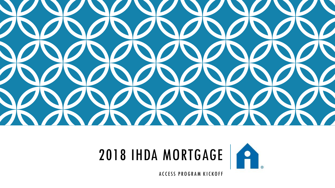





ACCESS PROGRAM KICKOFF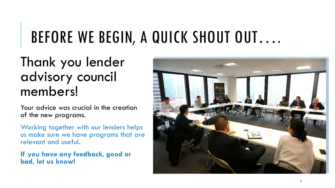## BEFORE WE BEGIN, A QUICK SHOUT OUT….

### Thank you lender advisory council members!

Your advice was crucial in the creation of the new programs.

Working together with our lenders helps us make sure we have programs that are relevant and useful.

**If you have any feedback, good or bad, let us know!** 

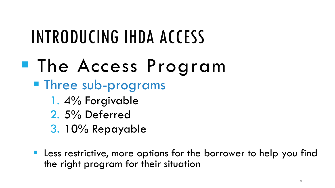# INTRODUCING IHDA ACCESS

- The Access Program
	- **Three sub-programs** 
		- 1. 4% Forgivable
		- 2. 5% Deferred
		- 3. 10% Repayable
	- **Less restrictive, more options for the borrower to help you find** the right program for their situation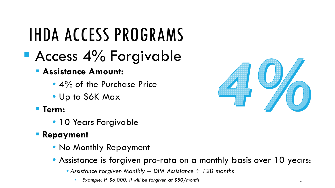## **Access 4% Forgivable**

#### **Assistance Amount:**

- 4% of the Purchase Price
- Up to \$6K Max
- **Term:** 
	- 10 Years Forgivable
- **Repayment**
	- No Monthly Repayment
	- Assistance is forgiven pro-rata on a monthly basis over 10 years:
		- *Assistance Forgiven Monthly = DPA Assistance ÷ 120 months* 
			- *Example: If \$6,000, it will be forgiven at \$50/month*

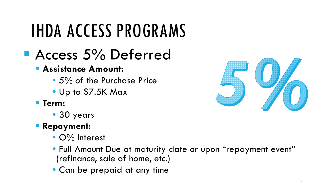## Access 5% Deferred

#### **Assistance Amount:**

- 5% of the Purchase Price
- Up to \$7.5K Max
- **Term:** 
	- 30 years
- **Repayment:** 
	- O% Interest
	- Full Amount Due at maturity date or upon "repayment event" (refinance, sale of home, etc.)
	- Can be prepaid at any time

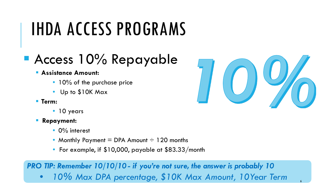## **Access 10% Repayable**

#### **Assistance Amount:**

- 10% of the purchase price
- Up to \$10K Max
- **Term:** 
	- 10 years
- **Repayment:** 
	- 0% interest
	- Monthly Payment  $=$  DPA Amount  $\div$  120 months
	- For example, if \$10,000, payable at \$83.33/month

*PRO TIP: Remember 10/10/10 - if you're not sure, the answer is probably 10*

• *10% Max DPA percentage, \$10K Max Amount, 10Year Term* <sup>6</sup>

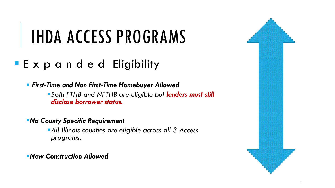#### **Expanded Eligibility**

 *First-Time and Non First-Time Homebuyer Allowed Both FTHB and NFTHB are eligible but lenders must still disclose borrower status.*

*No County Specific Requirement*

*All Illinois counties are eligible across all 3 Access programs.*

*New Construction Allowed*

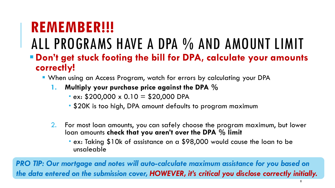## **REMEMBER!!!**

## ALL PROGRAMS HAVE A DPA % AND AMOUNT LIMIT

- **Don't get stuck footing the bill for DPA, calculate your amounts correctly!** 
	- When using an Access Program, watch for errors by calculating your DPA
		- **1. Multiply your purchase price against the DPA %**
			- $\texttt{ex: } $200,000 \times 0.10 = $20,000 \text{ DPA}$
			- \$20K is too high, DPA amount defaults to program maximum
		- 2. For most loan amounts, you can safely choose the program maximum, but lower loan amounts **check that you aren't over the DPA % limit**
			- ex: Taking \$10k of assistance on a \$98,000 would cause the loan to be unsaleable

**PRO TIP: Our mortgage and notes will auto-calculate maximum assistance for you based on** *the data entered on the submission cover, HOWEVER, it's critical you disclose correctly initially.*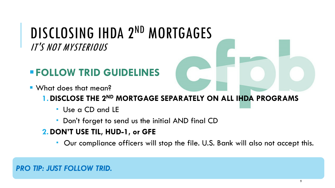### DISCLOSING IHDA 2ND MORTGAGES IT'S NOT MYSTERIOUS

#### **FOLLOW TRID GUIDELINES**

- What does that mean?
	- **1.DISCLOSE THE 2ND MORTGAGE SEPARATELY ON ALL IHDA PROGRAMS**
		- Use a CD and LE
		- **Don't forget to send us the initial AND final CD**
	- **2.DON'T USE TIL, HUD-1, or GFE** 
		- Our compliance officers will stop the file. U.S. Bank will also not accept this.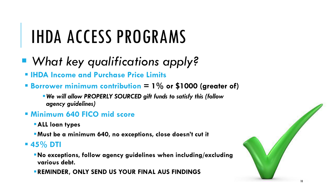- *What key qualifications apply?*
	- **IHDA Income and Purchase Price Limits**
	- **Borrower minimum contribution = 1% or \$1000 (greater of)**
		- *We will allow PROPERLY SOURCED gift funds to satisfy this (follow agency guidelines)*
	- **Minimum 640 FICO mid score**
		- **ALL loan types**
		- **Must be a minimum 640, no exceptions, close doesn't cut it**
	- **45% DTI**
		- **No exceptions, follow agency guidelines when including/excluding various debt.**
		- **REMINDER, ONLY SEND US YOUR FINAL AUS FINDINGS**

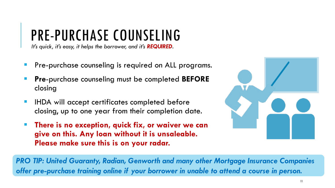## PRE-PURCHASE COUNSELING

*It's quick, it's easy, it helps the borrower, and it's REQUIRED.*

- Pre-purchase counseling is required on ALL programs.
- **Pre**-purchase counseling must be completed **BEFORE** closing
- **IHDA will accept certificates completed before** closing, up to one year from their completion date.
- **There is no exception, quick fix, or waiver we can give on this. Any loan without it is unsaleable. Please make sure this is on your radar.**



*PRO TIP: United Guaranty, Radian, Genworth and many other Mortgage Insurance Companies offer pre-purchase training online if your borrower in unable to attend a course in person.*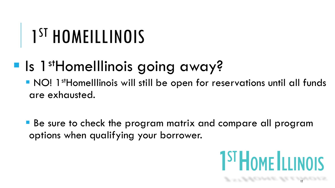# 1<sup>ST</sup> HOMEILLINOIS

## **Is 1st Homelllinois going away?**

**NO! 1st HomeIllinois will still be open for reservations until all funds** are exhausted.

 Be sure to check the program matrix and compare all program options when qualifying your borrower.

12

**1ST HOME ILLINOIS**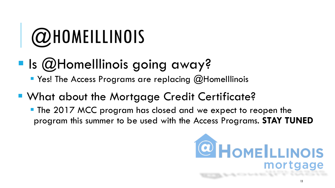# @HOMEILLINOIS

**Is @HomeIllinois going away?** 

**P** Yes! The Access Programs are replacing @HomeIllinois

- **What about the Mortgage Credit Certificate?** 
	- **The 2017 MCC program has closed and we expect to reopen the** program this summer to be used with the Access Programs. **STAY TUNED**

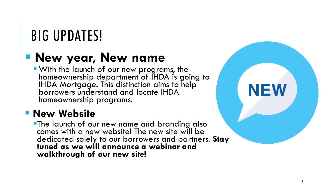## BIG UPDATES!

### **New year, New name**

 With the launch of our new programs, the homeownership department of IHDA is going to IHDA Mortgage. This distinction aims to help borrowers understand and locate IHDA homeownership programs.

#### **New Website**

**The launch of our new name and branding also** comes with a new website! The new site will be dedicated solely to our borrowers and partners. **Stay tuned as we will announce a webinar and walkthrough of our new site!**

14

**NEW**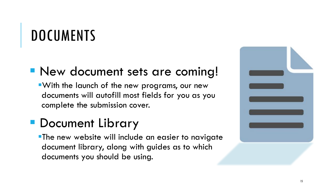## **DOCUMENTS**

#### **New document sets are coming!**

With the launch of the new programs, our new documents will autofill most fields for you as you complete the submission cover.

### **• Document Library**

**-The new website will include an easier to navigate** document library, along with guides as to which documents you should be using.

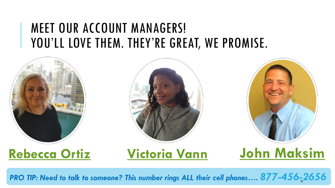### MEET OUR ACCOUNT MANAGERS! YOU'LL LOVE THEM. THEY'RE GREAT, WE PROMISE.







### **[Rebecca Ortiz](mailto:rortiz@ihda.org) [Victoria Vann](mailto:vvann@ihda.org) [John Maksim](mailto:jmaksim@ihda.org)**

*PRO TIP: Need to talk to someone? This number rings ALL their cell phones…. 877-456-* 16*2656*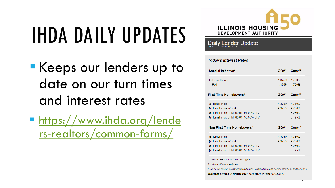# IHDA DAILY UPDATES

- **Keeps our lenders up to** date on our turn times and interest rates
- **[https://www.ihda.org/lende](https://www.ihda.org/lenders-realtors/common-forms/)** rs-realtors/common-forms/



Daily Lender Update

#### **Today's Interest Rates**

| Special Initiative <sup>3</sup>                                                                                                                                              | GOV <sup>1</sup>                                                                   | Conv <sup>2</sup>                    |
|------------------------------------------------------------------------------------------------------------------------------------------------------------------------------|------------------------------------------------------------------------------------|--------------------------------------|
| 1stHomelllinois<br>I - Refi                                                                                                                                                  | 4 375%<br>4.375%                                                                   | 4 750%<br>4.750%                     |
| First-Time Homebuyers <sup>3</sup>                                                                                                                                           | GOV <sup>1</sup>                                                                   | Conv <sup>2</sup>                    |
| @Homelllinois<br>@Homelllinois w/DPA<br>@HomeIllinois LPMI 90.01- 97.00% LTV<br>@HomeIllinois LPMI 80.01- 90.00% LTV<br>Non First-Time Homebuyers <sup>3</sup>               | 4.375%<br>4.375% 4.750%<br>---------- 5.250%<br>$----- 5.125%$<br>GOV <sup>1</sup> | 4.750%<br>Conv <sup>2</sup>          |
| @Homelllinois<br>@Homelllinois w/DPA<br>@Homelllinois LPMI 90.01- 97.00% LTV<br>@HomeIllinois LPMI 80.01- 90.00% LTV                                                         | 4.375%<br>4.375%                                                                   | 4.750%<br>4.750%<br>5.250%<br>5.125% |
| 1. Indicates FHA, VA, or USDA loan types<br>2. Indicates FNMA loan types<br>3. Rates are subject to change without notice. Qualified veterans, service members, and borrower |                                                                                    |                                      |

purchasing a property in targeted areas, need not be first-time homebuyer.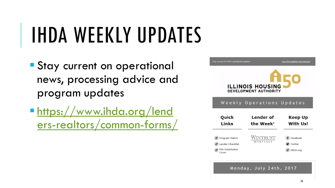# IHDA WEEKLY UPDATES

- **Stay current on operational** news, processing advice and program updates
- https://www.ihda.org/lend [ers-realtors/common-forms/](https://www.ihda.org/lenders-realtors/common-forms/)



**Your source for IHDA operational up** 

#### Weekly Operations Updates

| Quick                                                          | Lender of             | Keep Up                         |
|----------------------------------------------------------------|-----------------------|---------------------------------|
| Links                                                          | the Week <sup>1</sup> | With Us!                        |
| Program Matrix<br>Lender Checklist<br>File Submission<br>Cover | WINTRUST<br>MORTGAGE  | Facebook<br>Twitter<br>IHDA.org |

Monday, July 24th, 2017

View this email in your browser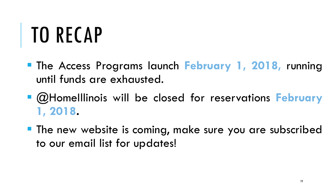# TO RECAP

- The Access Programs launch **February 1, 2018,** running until funds are exhausted.
- @HomeIllinois will be closed for reservations **February 1, 2018.**
- **The new website is coming, make sure you are subscribed** to our email list for updates!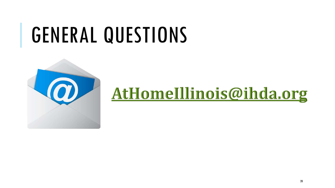# GENERAL QUESTIONS



## AtHomeIllinois@ihda.org